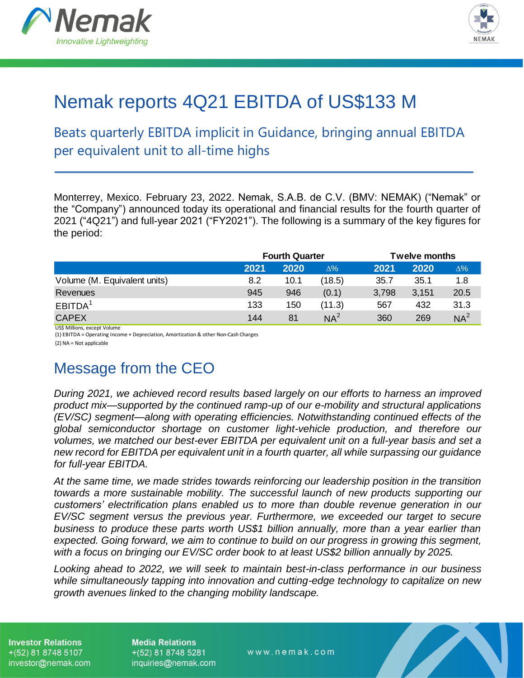



# Nemak reports 4Q21 EBITDA of US\$133 M

Beats quarterly EBITDA implicit in Guidance, bringing annual EBITDA per equivalent unit to all-time highs

Monterrey, Mexico. February 23, 2022. Nemak, S.A.B. de C.V. (BMV: NEMAK) ("Nemak" or the "Company") announced today its operational and financial results for the fourth quarter of 2021 ("4Q21") and full-year 2021 ("FY2021"). The following is a summary of the key figures for the period:

|                              |      | <b>Fourth Quarter</b> |            |       | <b>Twelve months</b> |                 |
|------------------------------|------|-----------------------|------------|-------|----------------------|-----------------|
|                              | 2021 | 2020                  | $\Delta\%$ | 2021  | 2020                 | $\Delta\%$      |
| Volume (M. Equivalent units) | 8.2  | 10.1                  | (18.5)     | 35.7  | 35.1                 | 1.8             |
| Revenues                     | 945  | 946                   | (0.1)      | 3,798 | 3,151                | 20.5            |
| EBITDA <sup>1</sup>          | 133  | 150                   | (11.3)     | 567   | 432                  | 31.3            |
| <b>CAPEX</b>                 | 144  | 81                    | $NA^2$     | 360   | 269                  | NA <sup>2</sup> |

US\$ Millions, except Volume

(1) EBITDA = Operating Income + Depreciation, Amortization & other Non-Cash Charges

(2) NA = Not applicable

## Message from the CEO

*During 2021, we achieved record results based largely on our efforts to harness an improved product mix—supported by the continued ramp-up of our e-mobility and structural applications (EV/SC) segment—along with operating efficiencies. Notwithstanding continued effects of the global semiconductor shortage on customer light-vehicle production, and therefore our volumes, we matched our best-ever EBITDA per equivalent unit on a full-year basis and set a new record for EBITDA per equivalent unit in a fourth quarter, all while surpassing our guidance for full-year EBITDA.*

*At the same time, we made strides towards reinforcing our leadership position in the transition towards a more sustainable mobility. The successful launch of new products supporting our customers' electrification plans enabled us to more than double revenue generation in our EV/SC segment versus the previous year. Furthermore, we exceeded our target to secure business to produce these parts worth US\$1 billion annually, more than a year earlier than expected. Going forward, we aim to continue to build on our progress in growing this segment, with a focus on bringing our EV/SC order book to at least US\$2 billion annually by 2025.* 

*Looking ahead to 2022, we will seek to maintain best-in-class performance in our business while simultaneously tapping into innovation and cutting-edge technology to capitalize on new growth avenues linked to the changing mobility landscape.* 

**Investor Relations**  $+(52)$  81 8748 5107 investor@nemak.com **Media Relations**  $+(52)$  81 8748 5281 inquiries@nemak.com

www.nemak.com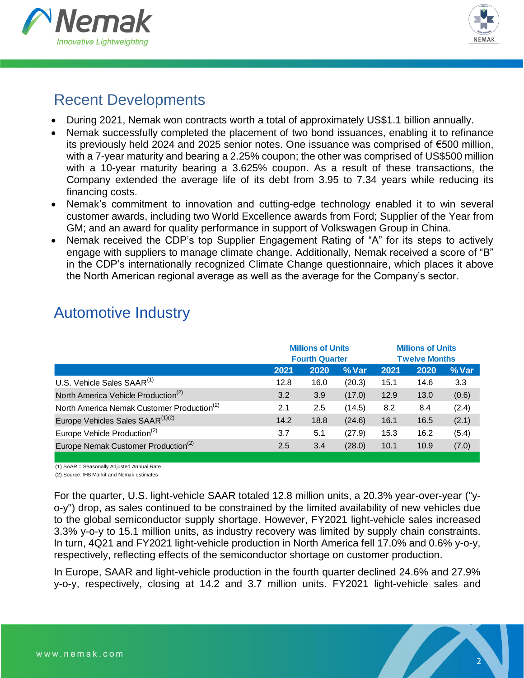



2

## Recent Developments

- During 2021, Nemak won contracts worth a total of approximately US\$1.1 billion annually.
- Nemak successfully completed the placement of two bond issuances, enabling it to refinance its previously held 2024 and 2025 senior notes. One issuance was comprised of €500 million, with a 7-year maturity and bearing a 2.25% coupon; the other was comprised of US\$500 million with a 10-year maturity bearing a 3.625% coupon. As a result of these transactions, the Company extended the average life of its debt from 3.95 to 7.34 years while reducing its financing costs.
- Nemak's commitment to innovation and cutting-edge technology enabled it to win several customer awards, including two World Excellence awards from Ford; Supplier of the Year from GM; and an award for quality performance in support of Volkswagen Group in China.
- Nemak received the CDP's top Supplier Engagement Rating of "A" for its steps to actively engage with suppliers to manage climate change. Additionally, Nemak received a score of "B" in the CDP's internationally recognized Climate Change questionnaire, which places it above the North American regional average as well as the average for the Company's sector.

|                                                        |      | <b>Millions of Units</b><br><b>Fourth Quarter</b> |          |      | <b>Millions of Units</b><br><b>Twelve Months</b> |       |
|--------------------------------------------------------|------|---------------------------------------------------|----------|------|--------------------------------------------------|-------|
|                                                        | 2021 | 2020                                              | $\%$ Var | 2021 | 2020                                             | % Var |
| U.S. Vehicle Sales SAAR <sup>(1)</sup>                 | 12.8 | 16.0                                              | (20.3)   | 15.1 | 14.6                                             | 3.3   |
| North America Vehicle Production <sup>(2)</sup>        | 3.2  | 3.9                                               | (17.0)   | 12.9 | 13.0                                             | (0.6) |
| North America Nemak Customer Production <sup>(2)</sup> | 2.1  | 2.5                                               | (14.5)   | 8.2  | 8.4                                              | (2.4) |
| Europe Vehicles Sales SAAR <sup>(1)(2)</sup>           | 14.2 | 18.8                                              | (24.6)   | 16.1 | 16.5                                             | (2.1) |
| Europe Vehicle Production <sup>(2)</sup>               | 3.7  | 5.1                                               | (27.9)   | 15.3 | 16.2                                             | (5.4) |
| Europe Nemak Customer Production <sup>(2)</sup>        | 2.5  | 3.4                                               | (28.0)   | 10.1 | 10.9                                             | (7.0) |
|                                                        |      |                                                   |          |      |                                                  |       |

## Automotive Industry

(1) SAAR = Seasonally Adjusted Annual Rate

(2) Source: IHS Markit and Nemak estimates

For the quarter, U.S. light-vehicle SAAR totaled 12.8 million units, a 20.3% year-over-year ("yo-y") drop, as sales continued to be constrained by the limited availability of new vehicles due to the global semiconductor supply shortage. However, FY2021 light-vehicle sales increased 3.3% y-o-y to 15.1 million units, as industry recovery was limited by supply chain constraints. In turn, 4Q21 and FY2021 light-vehicle production in North America fell 17.0% and 0.6% y-o-y, respectively, reflecting effects of the semiconductor shortage on customer production.

In Europe, SAAR and light-vehicle production in the fourth quarter declined 24.6% and 27.9% y-o-y, respectively, closing at 14.2 and 3.7 million units. FY2021 light-vehicle sales and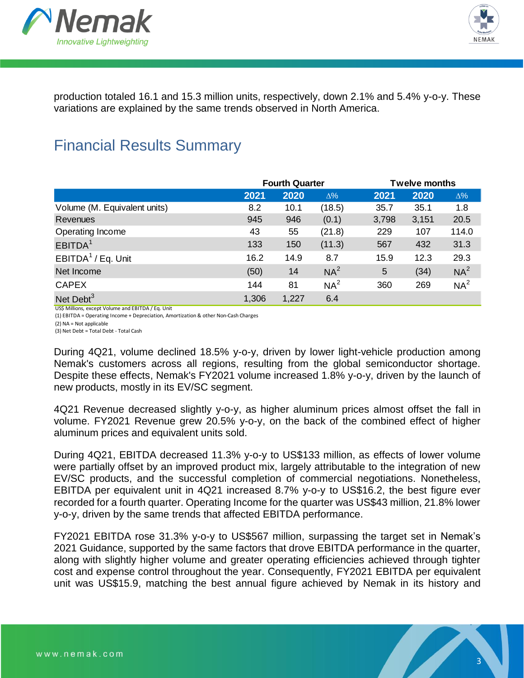



production totaled 16.1 and 15.3 million units, respectively, down 2.1% and 5.4% y-o-y. These variations are explained by the same trends observed in North America.

## Financial Results Summary

|                              |       | <b>Fourth Quarter</b> |                 |       | <b>Twelve months</b> |                 |
|------------------------------|-------|-----------------------|-----------------|-------|----------------------|-----------------|
|                              | 2021  | 2020                  | $\Delta\%$      | 2021  | 2020                 | $\Delta\%$      |
| Volume (M. Equivalent units) | 8.2   | 10.1                  | (18.5)          | 35.7  | 35.1                 | 1.8             |
| <b>Revenues</b>              | 945   | 946                   | (0.1)           | 3,798 | 3,151                | 20.5            |
| Operating Income             | 43    | 55                    | (21.8)          | 229   | 107                  | 114.0           |
| EBITDA <sup>1</sup>          | 133   | 150                   | (11.3)          | 567   | 432                  | 31.3            |
| EBITDA $1$ / Eq. Unit        | 16.2  | 14.9                  | 8.7             | 15.9  | 12.3                 | 29.3            |
| Net Income                   | (50)  | 14                    | $NA^2$          | 5     | (34)                 | NA <sup>2</sup> |
| <b>CAPEX</b>                 | 144   | 81                    | NA <sup>2</sup> | 360   | 269                  | NA <sup>2</sup> |
| Net Debt <sup>3</sup>        | 1,306 | 1,227                 | 6.4             |       |                      |                 |

US\$ Millions, except Volume and EBITDA / Eq. Unit

(1) EBITDA = Operating Income + Depreciation, Amortization & other Non-Cash Charges

(2) NA = Not applicable

(3) Net Debt = Total Debt - Total Cash

During 4Q21, volume declined 18.5% y-o-y, driven by lower light-vehicle production among Nemak's customers across all regions, resulting from the global semiconductor shortage. Despite these effects, Nemak's FY2021 volume increased 1.8% y-o-y, driven by the launch of new products, mostly in its EV/SC segment.

4Q21 Revenue decreased slightly y-o-y, as higher aluminum prices almost offset the fall in volume. FY2021 Revenue grew 20.5% y-o-y, on the back of the combined effect of higher aluminum prices and equivalent units sold.

During 4Q21, EBITDA decreased 11.3% y-o-y to US\$133 million, as effects of lower volume were partially offset by an improved product mix, largely attributable to the integration of new EV/SC products, and the successful completion of commercial negotiations. Nonetheless, EBITDA per equivalent unit in 4Q21 increased 8.7% y-o-y to US\$16.2, the best figure ever recorded for a fourth quarter. Operating Income for the quarter was US\$43 million, 21.8% lower y-o-y, driven by the same trends that affected EBITDA performance.

FY2021 EBITDA rose 31.3% y-o-y to US\$567 million, surpassing the target set in Nemak's 2021 Guidance, supported by the same factors that drove EBITDA performance in the quarter, along with slightly higher volume and greater operating efficiencies achieved through tighter cost and expense control throughout the year. Consequently, FY2021 EBITDA per equivalent unit was US\$15.9, matching the best annual figure achieved by Nemak in its history and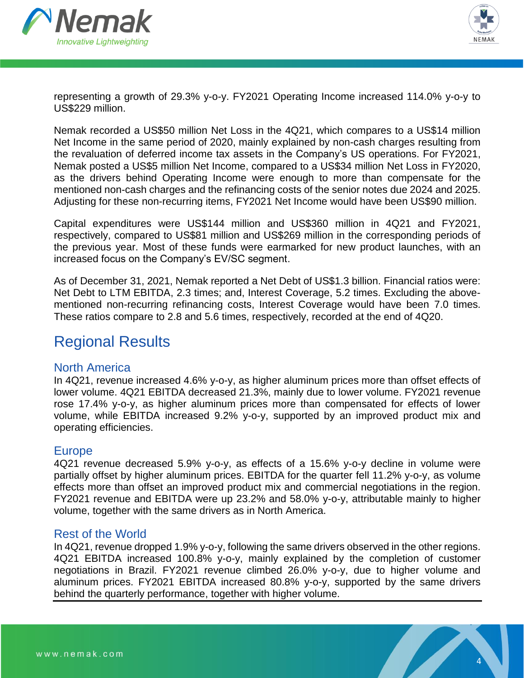



representing a growth of 29.3% y-o-y. FY2021 Operating Income increased 114.0% y-o-y to US\$229 million.

Nemak recorded a US\$50 million Net Loss in the 4Q21, which compares to a US\$14 million Net Income in the same period of 2020, mainly explained by non-cash charges resulting from the revaluation of deferred income tax assets in the Company's US operations. For FY2021, Nemak posted a US\$5 million Net Income, compared to a US\$34 million Net Loss in FY2020, as the drivers behind Operating Income were enough to more than compensate for the mentioned non-cash charges and the refinancing costs of the senior notes due 2024 and 2025. Adjusting for these non-recurring items, FY2021 Net Income would have been US\$90 million.

Capital expenditures were US\$144 million and US\$360 million in 4Q21 and FY2021, respectively, compared to US\$81 million and US\$269 million in the corresponding periods of the previous year. Most of these funds were earmarked for new product launches, with an increased focus on the Company's EV/SC segment.

As of December 31, 2021, Nemak reported a Net Debt of US\$1.3 billion. Financial ratios were: Net Debt to LTM EBITDA, 2.3 times; and, Interest Coverage, 5.2 times. Excluding the abovementioned non-recurring refinancing costs, Interest Coverage would have been 7.0 times. These ratios compare to 2.8 and 5.6 times, respectively, recorded at the end of 4Q20.

## Regional Results

### North America

In 4Q21, revenue increased 4.6% y-o-y, as higher aluminum prices more than offset effects of lower volume. 4Q21 EBITDA decreased 21.3%, mainly due to lower volume. FY2021 revenue rose 17.4% y-o-y, as higher aluminum prices more than compensated for effects of lower volume, while EBITDA increased 9.2% y-o-y, supported by an improved product mix and operating efficiencies.

### **Europe**

4Q21 revenue decreased 5.9% y-o-y, as effects of a 15.6% y-o-y decline in volume were partially offset by higher aluminum prices. EBITDA for the quarter fell 11.2% y-o-y, as volume effects more than offset an improved product mix and commercial negotiations in the region. FY2021 revenue and EBITDA were up 23.2% and 58.0% y-o-y, attributable mainly to higher volume, together with the same drivers as in North America.

### Rest of the World

In 4Q21, revenue dropped 1.9% y-o-y, following the same drivers observed in the other regions. 4Q21 EBITDA increased 100.8% y-o-y, mainly explained by the completion of customer negotiations in Brazil. FY2021 revenue climbed 26.0% y-o-y, due to higher volume and aluminum prices. FY2021 EBITDA increased 80.8% y-o-y, supported by the same drivers behind the quarterly performance, together with higher volume.

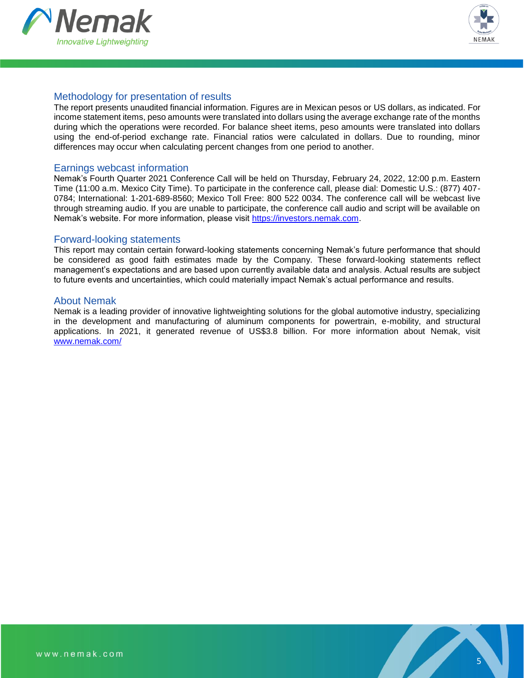



#### Methodology for presentation of results

The report presents unaudited financial information. Figures are in Mexican pesos or US dollars, as indicated. For income statement items, peso amounts were translated into dollars using the average exchange rate of the months during which the operations were recorded. For balance sheet items, peso amounts were translated into dollars using the end-of-period exchange rate. Financial ratios were calculated in dollars. Due to rounding, minor differences may occur when calculating percent changes from one period to another.

#### Earnings webcast information

Nemak's Fourth Quarter 2021 Conference Call will be held on Thursday, February 24, 2022, 12:00 p.m. Eastern Time (11:00 a.m. Mexico City Time). To participate in the conference call, please dial: Domestic U.S.: (877) 407- 0784; International: 1-201-689-8560; Mexico Toll Free: 800 522 0034. The conference call will be webcast live through streaming audio. If you are unable to participate, the conference call audio and script will be available on Nemak's website. For more information, please visit [https://investors.nemak.com.](https://investors.nemak.com/)

#### Forward-looking statements

This report may contain certain forward-looking statements concerning Nemak's future performance that should be considered as good faith estimates made by the Company. These forward-looking statements reflect management's expectations and are based upon currently available data and analysis. Actual results are subject to future events and uncertainties, which could materially impact Nemak's actual performance and results.

#### About Nemak

Nemak is a leading provider of innovative lightweighting solutions for the global automotive industry, specializing in the development and manufacturing of aluminum components for powertrain, e-mobility, and structural applications. In 2021, it generated revenue of US\$3.8 billion. For more information about Nemak, visit [www.nemak.com/](https://nemak.com/)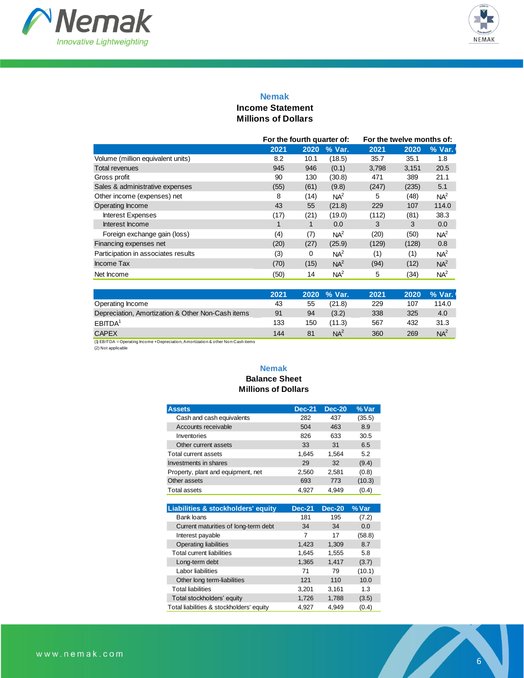



#### **Nemak**

#### **Income Statement Millions of Dollars**

|                                     | For the fourth quarter of: |      |                 | For the twelve months of: |       |                 |
|-------------------------------------|----------------------------|------|-----------------|---------------------------|-------|-----------------|
|                                     | 2021                       | 2020 | % Var.          | 2021                      | 2020  | % Var.          |
| Volume (million equivalent units)   | 8.2                        | 10.1 | (18.5)          | 35.7                      | 35.1  | 1.8             |
| <b>Total revenues</b>               | 945                        | 946  | (0.1)           | 3,798                     | 3,151 | 20.5            |
| Gross profit                        | 90                         | 130  | (30.8)          | 471                       | 389   | 21.1            |
| Sales & administrative expenses     | (55)                       | (61) | (9.8)           | (247)                     | (235) | 5.1             |
| Other income (expenses) net         | 8                          | (14) | $NA^2$          | 5                         | (48)  | NA <sup>2</sup> |
| Operating Income                    | 43                         | 55   | (21.8)          | 229                       | 107   | 114.0           |
| <b>Interest Expenses</b>            | (17)                       | (21) | (19.0)          | (112)                     | (81)  | 38.3            |
| Interest Income                     |                            |      | 0.0             | 3                         | 3     | 0.0             |
| Foreign exchange gain (loss)        | (4)                        | (7)  | NA <sup>2</sup> | (20)                      | (50)  | NA <sup>2</sup> |
| Financing expenses net              | (20)                       | (27) | (25.9)          | (129)                     | (128) | 0.8             |
| Participation in associates results | (3)                        | 0    | $NA^2$          | (1)                       | (1)   | NA <sup>2</sup> |
| Income Tax                          | (70)                       | (15) | NA <sup>2</sup> | (94)                      | (12)  | NA <sup>2</sup> |
| Net Income                          | (50)                       | 14   | $NA^2$          | 5                         | (34)  | NA <sup>2</sup> |

| 2021 |     |                 | 2021        | 2020 | % Var. |
|------|-----|-----------------|-------------|------|--------|
| 43   | 55  | (21.8)          | 229         | 107  | 114.0  |
| 91   | 94  | (3.2)           | 338         | 325  | 4.0    |
| 133  | 150 | (11.3)          | 567         | 432  | 31.3   |
| 144  | 81  | NA <sup>2</sup> | 360         | 269  | $NA^2$ |
|      |     |                 | 2020 % Var. |      |        |

 $(1)$  EBITDA = Operating Income + Depreciation, Amortization & other Non-Cash items

#### (2) Not applicable

#### **Nemak Balance Sheet Millions of Dollars**

| <b>Assets</b>                      | <b>Dec-21</b> | <b>Dec-20</b> | % Var  |
|------------------------------------|---------------|---------------|--------|
| Cash and cash equivalents          | 282           | 437           | (35.5) |
| Accounts receivable                | 504           | 463           | 8.9    |
| Inventories                        | 826           | 633           | 30.5   |
| Other current assets               | 33            | 31            | 6.5    |
| Total current assets               | 1,645         | 1.564         | 5.2    |
| Investments in shares              | 29            | 32            | (9.4)  |
| Property, plant and equipment, net | 2,560         | 2,581         | (0.8)  |
| Other assets                       | 693           | 773           | (10.3) |
| <b>Total assets</b>                | 4,927         | 4.949         | (0.4)  |

| Liabilities & stockholders' equity       | <b>Dec-21</b> | <b>Dec-20</b> | % Var  |
|------------------------------------------|---------------|---------------|--------|
| Bank loans                               | 181           | 195           | (7.2)  |
| Current maturities of long-term debt     | 34            | 34            | 0.0    |
| Interest payable                         | 7             | 17            | (58.8) |
| <b>Operating liabilities</b>             | 1,423         | 1,309         | 8.7    |
| <b>Total current liabilities</b>         | 1,645         | 1,555         | 5.8    |
| Long-term debt                           | 1,365         | 1,417         | (3.7)  |
| Labor liabilities                        | 71            | 79            | (10.1) |
| Other long term-liabilities              | 121           | 110           | 10.0   |
| <b>Total liabilities</b>                 | 3.201         | 3.161         | 1.3    |
| Total stockholders' equity               | 1,726         | 1,788         | (3.5)  |
| Total liabilities & stockholders' equity | 4.927         | 4.949         | (0.4)  |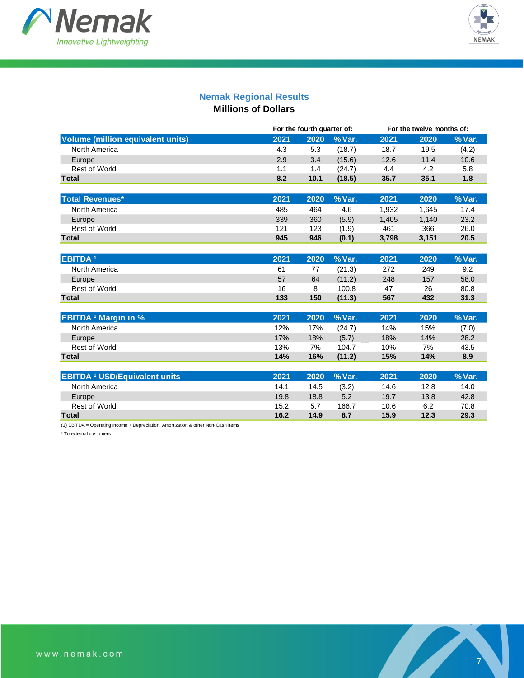



### **Nemak Regional Results**

**Millions of Dollars**

|                                          |      | For the fourth quarter of: |        |       | For the twelve months of: |        |
|------------------------------------------|------|----------------------------|--------|-------|---------------------------|--------|
| <b>Volume (million equivalent units)</b> | 2021 | 2020                       | % Var. | 2021  | 2020                      | % Var. |
| North America                            | 4.3  | 5.3                        | (18.7) | 18.7  | 19.5                      | (4.2)  |
| Europe                                   | 2.9  | 3.4                        | (15.6) | 12.6  | 11.4                      | 10.6   |
| <b>Rest of World</b>                     | 1.1  | 1.4                        | (24.7) | 4.4   | 4.2                       | 5.8    |
| <b>Total</b>                             | 8.2  | 10.1                       | (18.5) | 35.7  | 35.1                      | 1.8    |
|                                          |      |                            |        |       |                           |        |
| <b>Total Revenues*</b>                   | 2021 | 2020                       | % Var. | 2021  | 2020                      | % Var. |
| North America                            | 485  | 464                        | 4.6    | 1,932 | 1,645                     | 17.4   |
| Europe                                   | 339  | 360                        | (5.9)  | 1.405 | 1,140                     | 23.2   |
| <b>Rest of World</b>                     | 121  | 123                        | (1.9)  | 461   | 366                       | 26.0   |
| <b>Total</b>                             | 945  | 946                        | (0.1)  | 3,798 | 3,151                     | 20.5   |
|                                          |      |                            |        |       |                           |        |
| <b>EBITDA<sup>1</sup></b>                | 2021 | 2020                       | % Var. | 2021  | 2020                      | % Var. |
| North America                            | 61   | 77                         | (21.3) | 272   | 249                       | 9.2    |
| Europe                                   | 57   | 64                         | (11.2) | 248   | 157                       | 58.0   |
| <b>Rest of World</b>                     | 16   | 8                          | 100.8  | 47    | 26                        | 80.8   |
| <b>Total</b>                             | 133  | 150                        | (11.3) | 567   | 432                       | 31.3   |
|                                          |      |                            |        |       |                           |        |
| <b>EBITDA <sup>1</sup> Margin in %</b>   | 2021 | 2020                       | % Var. | 2021  | 2020                      | % Var. |
| North America                            | 12%  | 17%                        | (24.7) | 14%   | 15%                       | (7.0)  |
| Europe                                   | 17%  | 18%                        | (5.7)  | 18%   | 14%                       | 28.2   |
| <b>Rest of World</b>                     | 13%  | 7%                         | 104.7  | 10%   | 7%                        | 43.5   |
| <b>Total</b>                             | 14%  | 16%                        | (11.2) | 15%   | 14%                       | 8.9    |
|                                          |      |                            |        |       |                           |        |
| <b>EBITDA 1 USD/Equivalent units</b>     | 2021 | 2020                       | % Var. | 2021  | 2020                      | % Var. |
| North America                            | 14.1 | 14.5                       | (3.2)  | 14.6  | 12.8                      | 14.0   |
| Europe                                   | 19.8 | 18.8                       | 5.2    | 19.7  | 13.8                      | 42.8   |
| <b>Rest of World</b>                     | 15.2 | 5.7                        | 166.7  | 10.6  | 6.2                       | 70.8   |
| Total                                    | 16.2 | 14.9                       | 8.7    | 15.9  | 12.3                      | 29.3   |

(1) EBITDA = Operating Income + Depreciation, Amortization & other Non-Cash items

\* To external customers